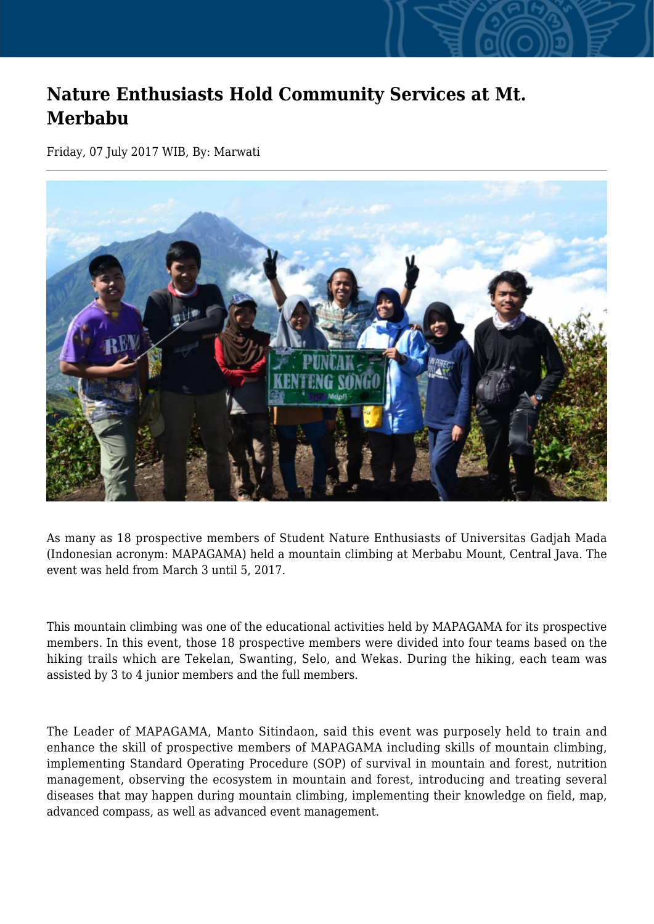## **Nature Enthusiasts Hold Community Services at Mt. Merbabu**

Friday, 07 July 2017 WIB, By: Marwati



As many as 18 prospective members of Student Nature Enthusiasts of Universitas Gadjah Mada (Indonesian acronym: MAPAGAMA) held a mountain climbing at Merbabu Mount, Central Java. The event was held from March 3 until 5, 2017.

This mountain climbing was one of the educational activities held by MAPAGAMA for its prospective members. In this event, those 18 prospective members were divided into four teams based on the hiking trails which are Tekelan, Swanting, Selo, and Wekas. During the hiking, each team was assisted by 3 to 4 junior members and the full members.

The Leader of MAPAGAMA, Manto Sitindaon, said this event was purposely held to train and enhance the skill of prospective members of MAPAGAMA including skills of mountain climbing, implementing Standard Operating Procedure (SOP) of survival in mountain and forest, nutrition management, observing the ecosystem in mountain and forest, introducing and treating several diseases that may happen during mountain climbing, implementing their knowledge on field, map, advanced compass, as well as advanced event management.